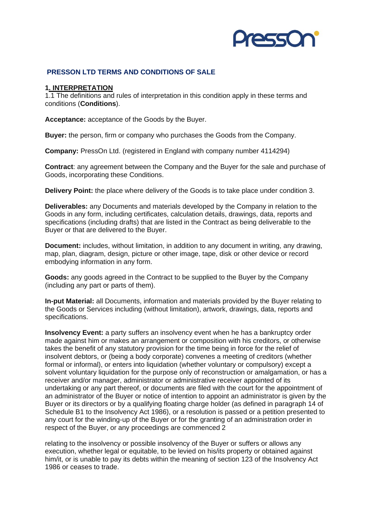

## **PRESSON LTD TERMS AND CONDITIONS OF SALE**

#### **1. INTERPRETATION**

1.1 The definitions and rules of interpretation in this condition apply in these terms and conditions (**Conditions**).

**Acceptance:** acceptance of the Goods by the Buyer.

**Buyer:** the person, firm or company who purchases the Goods from the Company.

**Company:** PressOn Ltd. (registered in England with company number 4114294)

**Contract**: any agreement between the Company and the Buyer for the sale and purchase of Goods, incorporating these Conditions.

**Delivery Point:** the place where delivery of the Goods is to take place under condition 3.

**Deliverables:** any Documents and materials developed by the Company in relation to the Goods in any form, including certificates, calculation details, drawings, data, reports and specifications (including drafts) that are listed in the Contract as being deliverable to the Buyer or that are delivered to the Buyer.

**Document:** includes, without limitation, in addition to any document in writing, any drawing, map, plan, diagram, design, picture or other image, tape, disk or other device or record embodying information in any form.

**Goods:** any goods agreed in the Contract to be supplied to the Buyer by the Company (including any part or parts of them).

**In-put Material:** all Documents, information and materials provided by the Buyer relating to the Goods or Services including (without limitation), artwork, drawings, data, reports and specifications.

**Insolvency Event:** a party suffers an insolvency event when he has a bankruptcy order made against him or makes an arrangement or composition with his creditors, or otherwise takes the benefit of any statutory provision for the time being in force for the relief of insolvent debtors, or (being a body corporate) convenes a meeting of creditors (whether formal or informal), or enters into liquidation (whether voluntary or compulsory) except a solvent voluntary liquidation for the purpose only of reconstruction or amalgamation, or has a receiver and/or manager, administrator or administrative receiver appointed of its undertaking or any part thereof, or documents are filed with the court for the appointment of an administrator of the Buyer or notice of intention to appoint an administrator is given by the Buyer or its directors or by a qualifying floating charge holder (as defined in paragraph 14 of Schedule B1 to the Insolvency Act 1986), or a resolution is passed or a petition presented to any court for the winding-up of the Buyer or for the granting of an administration order in respect of the Buyer, or any proceedings are commenced 2

relating to the insolvency or possible insolvency of the Buyer or suffers or allows any execution, whether legal or equitable, to be levied on his/its property or obtained against him/it, or is unable to pay its debts within the meaning of section 123 of the Insolvency Act 1986 or ceases to trade.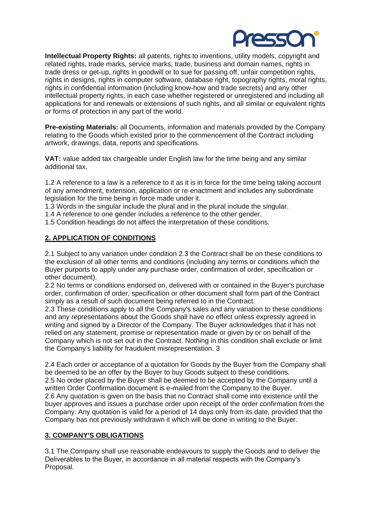

**Intellectual Property Rights:** all patents, rights to inventions, utility models, copyright and related rights, trade marks, service marks, trade, business and domain names, rights in trade dress or get-up, rights in goodwill or to sue for passing off, unfair competition rights, rights in designs, rights in computer software, database right, topography rights, moral rights, rights in confidential information (including know-how and trade secrets) and any other intellectual property rights, in each case whether registered or unregistered and including all applications for and renewals or extensions of such rights, and all similar or equivalent rights or forms of protection in any part of the world.

**Pre-existing Materials:** all Documents, information and materials provided by the Company relating to the Goods which existed prior to the commencement of the Contract including artwork, drawings, data, reports and specifications.

**VAT:** value added tax chargeable under English law for the time being and any similar additional tax.

1.2 A reference to a law is a reference to it as it is in force for the time being taking account of any amendment, extension, application or re-enactment and includes any subordinate legislation for the time being in force made under it.

1.3 Words in the singular include the plural and in the plural include the singular.

1.4 A reference to one gender includes a reference to the other gender.

1.5 Condition headings do not affect the interpretation of these conditions.

## **2. APPLICATION OF CONDITIONS**

2.1 Subject to any variation under condition 2.3 the Contract shall be on these conditions to the exclusion of all other terms and conditions (including any terms or conditions which the Buyer purports to apply under any purchase order, confirmation of order, specification or other document).

2.2 No terms or conditions endorsed on, delivered with or contained in the Buyer's purchase order, confirmation of order, specification or other document shall form part of the Contract simply as a result of such document being referred to in the Contract.

2.3 These conditions apply to all the Company's sales and any variation to these conditions and any representations about the Goods shall have no effect unless expressly agreed in writing and signed by a Director of the Company. The Buyer acknowledges that it has not relied on any statement, promise or representation made or given by or on behalf of the Company which is not set out in the Contract. Nothing in this condition shall exclude or limit the Company's liability for fraudulent misrepresentation. 3

2.4 Each order or acceptance of a quotation for Goods by the Buyer from the Company shall be deemed to be an offer by the Buyer to buy Goods subject to these conditions. 2.5 No order placed by the Buyer shall be deemed to be accepted by the Company until a written Order Confirmation document is e-mailed from the Company to the Buyer. 2.6 Any quotation is given on the basis that no Contract shall come into existence until the buyer approves and issues a purchase order upon receipt of the order confirmation from the Company. Any quotation is valid for a period of 14 days only from its date, provided that the Company has not previously withdrawn it which will be done in writing to the Buyer.

## **3. COMPANY'S OBLIGATIONS**

3.1 The Company shall use reasonable endeavours to supply the Goods and to deliver the Deliverables to the Buyer, in accordance in all material respects with the Company's Proposal.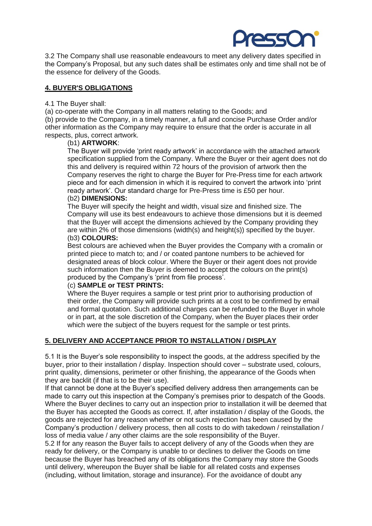

3.2 The Company shall use reasonable endeavours to meet any delivery dates specified in the Company's Proposal, but any such dates shall be estimates only and time shall not be of the essence for delivery of the Goods.

## **4. BUYER'S OBLIGATIONS**

#### 4.1 The Buyer shall:

(a) co-operate with the Company in all matters relating to the Goods; and

(b) provide to the Company, in a timely manner, a full and concise Purchase Order and/or other information as the Company may require to ensure that the order is accurate in all respects, plus, correct artwork.

#### (b1) **ARTWORK**:

The Buyer will provide 'print ready artwork' in accordance with the attached artwork specification supplied from the Company. Where the Buyer or their agent does not do this and delivery is required within 72 hours of the provision of artwork then the Company reserves the right to charge the Buyer for Pre-Press time for each artwork piece and for each dimension in which it is required to convert the artwork into 'print ready artwork'. Our standard charge for Pre-Press time is £50 per hour. (b2) **DIMENSIONS:** 

The Buyer will specify the height and width, visual size and finished size. The Company will use its best endeavours to achieve those dimensions but it is deemed that the Buyer will accept the dimensions achieved by the Company providing they are within 2% of those dimensions (width(s) and height(s)) specified by the buyer. (b3) **COLOURS:** 

Best colours are achieved when the Buyer provides the Company with a cromalin or printed piece to match to; and / or coated pantone numbers to be achieved for designated areas of block colour. Where the Buyer or their agent does not provide such information then the Buyer is deemed to accept the colours on the print(s) produced by the Company's 'print from file process'.

## (c) **SAMPLE or TEST PRINTS:**

Where the Buyer requires a sample or test print prior to authorising production of their order, the Company will provide such prints at a cost to be confirmed by email and formal quotation. Such additional charges can be refunded to the Buyer in whole or in part, at the sole discretion of the Company, when the Buyer places their order which were the subject of the buyers request for the sample or test prints.

## **5. DELIVERY AND ACCEPTANCE PRIOR TO INSTALLATION / DISPLAY**

5.1 It is the Buyer's sole responsibility to inspect the goods, at the address specified by the buyer, prior to their installation / display. Inspection should cover – substrate used, colours, print quality, dimensions, perimeter or other finishing, the appearance of the Goods when they are backlit (if that is to be their use).

If that cannot be done at the Buyer's specified delivery address then arrangements can be made to carry out this inspection at the Company's premises prior to despatch of the Goods. Where the Buyer declines to carry out an inspection prior to installation it will be deemed that the Buyer has accepted the Goods as correct. If, after installation / display of the Goods, the goods are rejected for any reason whether or not such rejection has been caused by the Company's production / delivery process, then all costs to do with takedown / reinstallation / loss of media value / any other claims are the sole responsibility of the Buyer.

5.2 If for any reason the Buyer fails to accept delivery of any of the Goods when they are ready for delivery, or the Company is unable to or declines to deliver the Goods on time because the Buyer has breached any of its obligations the Company may store the Goods until delivery, whereupon the Buyer shall be liable for all related costs and expenses (including, without limitation, storage and insurance). For the avoidance of doubt any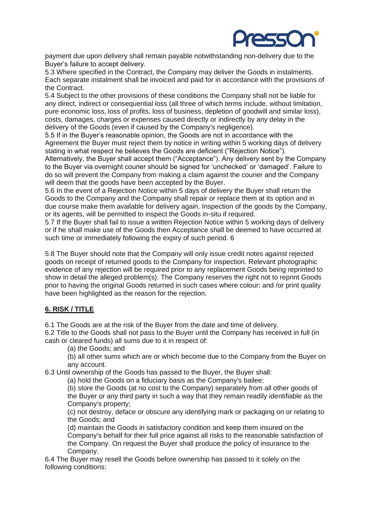

payment due upon delivery shall remain payable notwithstanding non-delivery due to the Buyer's failure to accept delivery.

5.3 Where specified in the Contract, the Company may deliver the Goods in instalments. Each separate instalment shall be invoiced and paid for in accordance with the provisions of the Contract.

5.4 Subject to the other provisions of these conditions the Company shall not be liable for any direct, indirect or consequential loss (all three of which terms include, without limitation, pure economic loss, loss of profits, loss of business, depletion of goodwill and similar loss), costs, damages, charges or expenses caused directly or indirectly by any delay in the delivery of the Goods (even if caused by the Company's negligence).

5.5 If in the Buyer's reasonable opinion, the Goods are not in accordance with the Agreement the Buyer must reject them by notice in writing within 5 working days of delivery stating in what respect he believes the Goods are deficient ("Rejection Notice").

Alternatively, the Buyer shall accept them ("Acceptance"). Any delivery sent by the Company to the Buyer via overnight courier should be signed for 'unchecked' or 'damaged'. Failure to do so will prevent the Company from making a claim against the courier and the Company will deem that the goods have been accepted by the Buyer.

5.6 In the event of a Rejection Notice within 5 days of delivery the Buyer shall return the Goods to the Company and the Company shall repair or replace them at its option and in due course make them available for delivery again. Inspection of the goods by the Company, or its agents, will be permitted to inspect the Goods in-situ if required.

5.7 If the Buyer shall fail to issue a written Rejection Notice within 5 working days of delivery or if he shall make use of the Goods then Acceptance shall be deemed to have occurred at such time or immediately following the expiry of such period. 6

5.8 The Buyer should note that the Company will only issue credit notes against rejected goods on receipt of returned goods to the Company for inspection. Relevant photographic evidence of any rejection will be required prior to any replacement Goods being reprinted to show in detail the alleged problem(s). The Company reserves the right not to reprint Goods prior to having the original Goods returned in such cases where colour; and /or print quality have been highlighted as the reason for the rejection.

# **6. RISK / TITLE**

6.1 The Goods are at the risk of the Buyer from the date and time of delivery.

6.2 Title to the Goods shall not pass to the Buyer until the Company has received in full (in cash or cleared funds) all sums due to it in respect of:

(a) the Goods; and

(b) all other sums which are or which become due to the Company from the Buyer on any account.

6.3 Until ownership of the Goods has passed to the Buyer, the Buyer shall:

(a) hold the Goods on a fiduciary basis as the Company's bailee;

(b) store the Goods (at no cost to the Company) separately from all other goods of the Buyer or any third party in such a way that they remain readily identifiable as the Company's property;

(c) not destroy, deface or obscure any identifying mark or packaging on or relating to the Goods; and

(d) maintain the Goods in satisfactory condition and keep them insured on the Company's behalf for their full price against all risks to the reasonable satisfaction of the Company. On request the Buyer shall produce the policy of insurance to the Company.

6.4 The Buyer may resell the Goods before ownership has passed to it solely on the following conditions: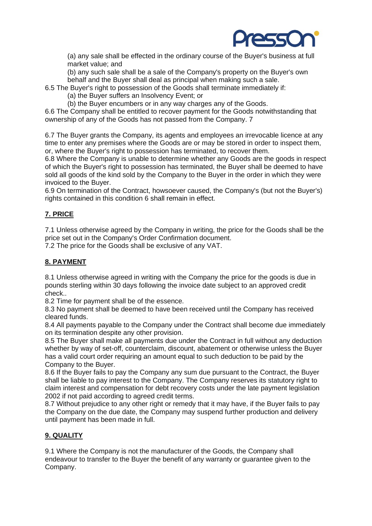

(a) any sale shall be effected in the ordinary course of the Buyer's business at full market value; and

(b) any such sale shall be a sale of the Company's property on the Buyer's own behalf and the Buyer shall deal as principal when making such a sale.

6.5 The Buyer's right to possession of the Goods shall terminate immediately if:

(a) the Buyer suffers an Insolvency Event; or

(b) the Buyer encumbers or in any way charges any of the Goods.

6.6 The Company shall be entitled to recover payment for the Goods notwithstanding that ownership of any of the Goods has not passed from the Company. 7

6.7 The Buyer grants the Company, its agents and employees an irrevocable licence at any time to enter any premises where the Goods are or may be stored in order to inspect them, or, where the Buyer's right to possession has terminated, to recover them.

6.8 Where the Company is unable to determine whether any Goods are the goods in respect of which the Buyer's right to possession has terminated, the Buyer shall be deemed to have sold all goods of the kind sold by the Company to the Buyer in the order in which they were invoiced to the Buyer.

6.9 On termination of the Contract, howsoever caused, the Company's (but not the Buyer's) rights contained in this condition 6 shall remain in effect.

# **7. PRICE**

7.1 Unless otherwise agreed by the Company in writing, the price for the Goods shall be the price set out in the Company's Order Confirmation document.

7.2 The price for the Goods shall be exclusive of any VAT.

# **8. PAYMENT**

8.1 Unless otherwise agreed in writing with the Company the price for the goods is due in pounds sterling within 30 days following the invoice date subject to an approved credit check..

8.2 Time for payment shall be of the essence.

8.3 No payment shall be deemed to have been received until the Company has received cleared funds.

8.4 All payments payable to the Company under the Contract shall become due immediately on its termination despite any other provision.

8.5 The Buyer shall make all payments due under the Contract in full without any deduction whether by way of set-off, counterclaim, discount, abatement or otherwise unless the Buyer has a valid court order requiring an amount equal to such deduction to be paid by the Company to the Buyer.

8.6 If the Buyer fails to pay the Company any sum due pursuant to the Contract, the Buyer shall be liable to pay interest to the Company. The Company reserves its statutory right to claim interest and compensation for debt recovery costs under the late payment legislation 2002 if not paid according to agreed credit terms.

8.7 Without prejudice to any other right or remedy that it may have, if the Buyer fails to pay the Company on the due date, the Company may suspend further production and delivery until payment has been made in full.

## **9. QUALITY**

9.1 Where the Company is not the manufacturer of the Goods, the Company shall endeavour to transfer to the Buyer the benefit of any warranty or guarantee given to the Company.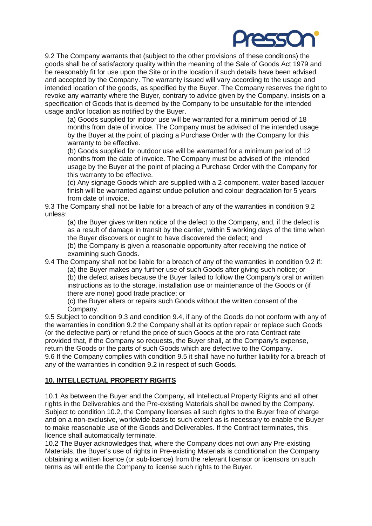

9.2 The Company warrants that (subject to the other provisions of these conditions) the goods shall be of satisfactory quality within the meaning of the Sale of Goods Act 1979 and be reasonably fit for use upon the Site or in the location if such details have been advised and accepted by the Company. The warranty issued will vary according to the usage and intended location of the goods, as specified by the Buyer. The Company reserves the right to revoke any warranty where the Buyer, contrary to advice given by the Company, insists on a specification of Goods that is deemed by the Company to be unsuitable for the intended usage and/or location as notified by the Buyer.

(a) Goods supplied for indoor use will be warranted for a minimum period of 18 months from date of invoice. The Company must be advised of the intended usage by the Buyer at the point of placing a Purchase Order with the Company for this warranty to be effective.

(b) Goods supplied for outdoor use will be warranted for a minimum period of 12 months from the date of invoice. The Company must be advised of the intended usage by the Buyer at the point of placing a Purchase Order with the Company for this warranty to be effective.

(c) Any signage Goods which are supplied with a 2-component, water based lacquer finish will be warranted against undue pollution and colour degradation for 5 years from date of invoice.

9.3 The Company shall not be liable for a breach of any of the warranties in condition 9.2 unless:

(a) the Buyer gives written notice of the defect to the Company, and, if the defect is as a result of damage in transit by the carrier, within 5 working days of the time when the Buyer discovers or ought to have discovered the defect; and

(b) the Company is given a reasonable opportunity after receiving the notice of examining such Goods.

9.4 The Company shall not be liable for a breach of any of the warranties in condition 9.2 if:

(a) the Buyer makes any further use of such Goods after giving such notice; or (b) the defect arises because the Buyer failed to follow the Company's oral or written instructions as to the storage, installation use or maintenance of the Goods or (if there are none) good trade practice; or

(c) the Buyer alters or repairs such Goods without the written consent of the Company.

9.5 Subject to condition 9.3 and condition 9.4, if any of the Goods do not conform with any of the warranties in condition 9.2 the Company shall at its option repair or replace such Goods (or the defective part) or refund the price of such Goods at the pro rata Contract rate provided that, if the Company so requests, the Buyer shall, at the Company's expense, return the Goods or the parts of such Goods which are defective to the Company. 9.6 If the Company complies with condition 9.5 it shall have no further liability for a breach of any of the warranties in condition 9.2 in respect of such Goods.

## **10. INTELLECTUAL PROPERTY RIGHTS**

10.1 As between the Buyer and the Company, all Intellectual Property Rights and all other rights in the Deliverables and the Pre-existing Materials shall be owned by the Company. Subject to condition 10.2, the Company licenses all such rights to the Buyer free of charge and on a non-exclusive, worldwide basis to such extent as is necessary to enable the Buyer to make reasonable use of the Goods and Deliverables. If the Contract terminates, this licence shall automatically terminate.

10.2 The Buyer acknowledges that, where the Company does not own any Pre-existing Materials, the Buyer's use of rights in Pre-existing Materials is conditional on the Company obtaining a written licence (or sub-licence) from the relevant licensor or licensors on such terms as will entitle the Company to license such rights to the Buyer.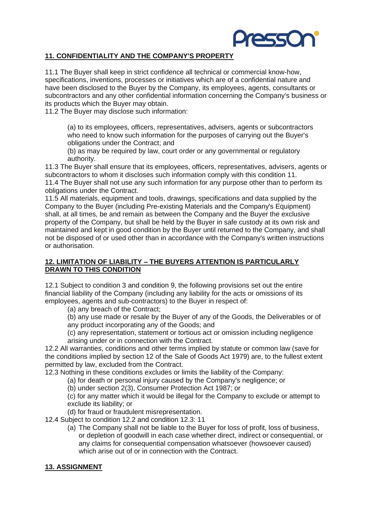

## **11. CONFIDENTIALITY AND THE COMPANY'S PROPERTY**

11.1 The Buyer shall keep in strict confidence all technical or commercial know-how, specifications, inventions, processes or initiatives which are of a confidential nature and have been disclosed to the Buyer by the Company, its employees, agents, consultants or subcontractors and any other confidential information concerning the Company's business or its products which the Buyer may obtain.

11.2 The Buyer may disclose such information:

(a) to its employees, officers, representatives, advisers, agents or subcontractors who need to know such information for the purposes of carrying out the Buyer's obligations under the Contract; and

(b) as may be required by law, court order or any governmental or regulatory authority.

11.3 The Buyer shall ensure that its employees, officers, representatives, advisers, agents or subcontractors to whom it discloses such information comply with this condition 11. 11.4 The Buyer shall not use any such information for any purpose other than to perform its obligations under the Contract.

11.5 All materials, equipment and tools, drawings, specifications and data supplied by the Company to the Buyer (including Pre-existing Materials and the Company's Equipment) shall, at all times, be and remain as between the Company and the Buyer the exclusive property of the Company, but shall be held by the Buyer in safe custody at its own risk and maintained and kept in good condition by the Buyer until returned to the Company, and shall not be disposed of or used other than in accordance with the Company's written instructions or authorisation.

## **12. LIMITATION OF LIABILITY – THE BUYERS ATTENTION IS PARTICULARLY DRAWN TO THIS CONDITION**

12.1 Subject to condition 3 and condition 9, the following provisions set out the entire financial liability of the Company (including any liability for the acts or omissions of its employees, agents and sub-contractors) to the Buyer in respect of:

(a) any breach of the Contract;

(b) any use made or resale by the Buyer of any of the Goods, the Deliverables or of any product incorporating any of the Goods; and

(c) any representation, statement or tortious act or omission including negligence arising under or in connection with the Contract.

12.2 All warranties, conditions and other terms implied by statute or common law (save for the conditions implied by section 12 of the Sale of Goods Act 1979) are, to the fullest extent permitted by law, excluded from the Contract.

12.3 Nothing in these conditions excludes or limits the liability of the Company:

(a) for death or personal injury caused by the Company's negligence; or

(b) under section 2(3), Consumer Protection Act 1987; or

(c) for any matter which it would be illegal for the Company to exclude or attempt to exclude its liability; or

(d) for fraud or fraudulent misrepresentation.

12.4 Subject to condition 12.2 and condition 12.3: 11

(a) The Company shall not be liable to the Buyer for loss of profit, loss of business, or depletion of goodwill in each case whether direct, indirect or consequential, or any claims for consequential compensation whatsoever (howsoever caused) which arise out of or in connection with the Contract.

#### **13. ASSIGNMENT**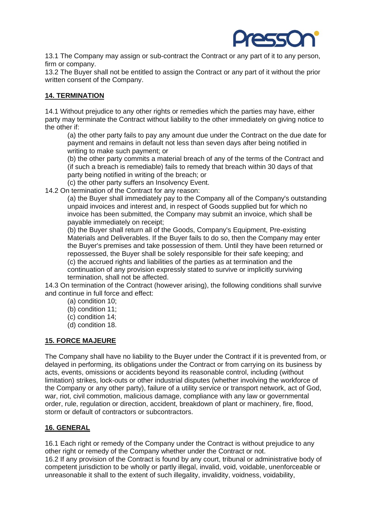

13.1 The Company may assign or sub-contract the Contract or any part of it to any person, firm or company.

13.2 The Buyer shall not be entitled to assign the Contract or any part of it without the prior written consent of the Company.

## **14. TERMINATION**

14.1 Without prejudice to any other rights or remedies which the parties may have, either party may terminate the Contract without liability to the other immediately on giving notice to the other if:

(a) the other party fails to pay any amount due under the Contract on the due date for payment and remains in default not less than seven days after being notified in writing to make such payment; or

(b) the other party commits a material breach of any of the terms of the Contract and (if such a breach is remediable) fails to remedy that breach within 30 days of that party being notified in writing of the breach; or

(c) the other party suffers an Insolvency Event.

14.2 On termination of the Contract for any reason:

(a) the Buyer shall immediately pay to the Company all of the Company's outstanding unpaid invoices and interest and, in respect of Goods supplied but for which no invoice has been submitted, the Company may submit an invoice, which shall be payable immediately on receipt;

(b) the Buyer shall return all of the Goods, Company's Equipment, Pre-existing Materials and Deliverables. If the Buyer fails to do so, then the Company may enter the Buyer's premises and take possession of them. Until they have been returned or repossessed, the Buyer shall be solely responsible for their safe keeping; and (c) the accrued rights and liabilities of the parties as at termination and the continuation of any provision expressly stated to survive or implicitly surviving termination, shall not be affected.

14.3 On termination of the Contract (however arising), the following conditions shall survive and continue in full force and effect:

- (a) condition 10;
- (b) condition 11;
- (c) condition 14;
- (d) condition 18.

## **15. FORCE MAJEURE**

The Company shall have no liability to the Buyer under the Contract if it is prevented from, or delayed in performing, its obligations under the Contract or from carrying on its business by acts, events, omissions or accidents beyond its reasonable control, including (without limitation) strikes, lock-outs or other industrial disputes (whether involving the workforce of the Company or any other party), failure of a utility service or transport network, act of God, war, riot, civil commotion, malicious damage, compliance with any law or governmental order, rule, regulation or direction, accident, breakdown of plant or machinery, fire, flood, storm or default of contractors or subcontractors.

# **16. GENERAL**

16.1 Each right or remedy of the Company under the Contract is without prejudice to any other right or remedy of the Company whether under the Contract or not. 16.2 If any provision of the Contract is found by any court, tribunal or administrative body of competent jurisdiction to be wholly or partly illegal, invalid, void, voidable, unenforceable or unreasonable it shall to the extent of such illegality, invalidity, voidness, voidability,